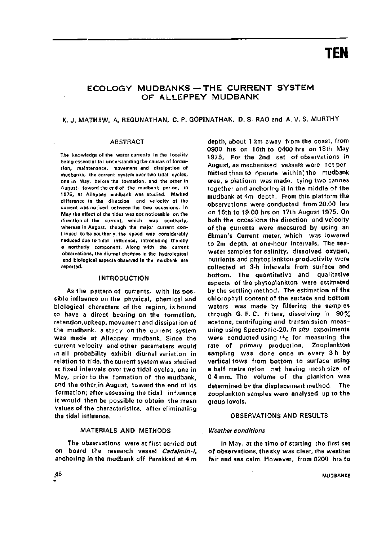# **TEN**

# ECOLOGY MUDBANKS - THE CURRENT SYSTEM OF ALLEPPEY MUDBANK

# K. J. MATHEW, A. REGUNATHAN, C. P. GOPINATHAN, D. S. RAO and A. V. S. MURTHY

#### ABSTRACT

The knowledge of the water currents in the locality being essential for understanding the causes of formation, maintenance, movement and dissipation of mudbanks, the current system over two tidal cycles, one in May, before the formation, and the other in August, toward the end of the mudbank period, in 1975, at Alleppey mudbank was studied. Marked difference in the direction and velocity of the current was noticed between the two occasions. In May the effect of the tides was not noticeable on the direction of the current, which was southerly, whereas in August, though the major current continued to be southerly, the speed was considerably reduced due to tidal influence. Introducing thereby a northerly component. Along with the current observations, the diurnal changes in the hydrologica! and biological aspects observed in the mudbank are reported.

#### INTRODUCTION

As the pattern of currents, with its possible influence on the physical, chemical and biological characters of the region, is bound to have a direct bearing on the formation, retention,upkeep, movement and dissipation of the mudbank, a study on the current system was made at Alleppey mudbank. Since the current velocity and other parameters would in all probability exhibit diurnal variation in relation to tide, the current system was studied at fixed intervals over two tidal cycles, one in May, prior to the formation of the mudbank, and the otherjn August, toward the end of its formation; after assessing the tidal influence it would then be possible to obtain the mean values of the characteristics, after eliminating the tidal influence.

# MATERIALS AND METHODS

The observations were at first carried out on board the research vessel Cadalmin-I, anchoring in the mudbank off Purakkad at 4 m depth, about 1 km away from the coast, from 0900 hrs on 16th to 0400 hrs on 18th May 1975. For the 2nd set of observations in August, as mechanised vessels were not permitted then to operate within' the mudbank area, a platform was made, tying two canoes together and anchoring it in the middle of the mudbank at 4m depth. From this platform the observations were conducted from 20.00 hrs on 16th to 19.00 hrs on 17th August 1975. On both the occasions the direction and velocity of the currents were measured by using an Ekman's Current meter, which was lowered to 2m depth, at one-hour intervals. The seawater samples for salinity, dissolved oxygen, nutrients and phytoplankton productivity were collected at 3-h intervals from surface and bottom. The quantitative and qualitative aspects of the phytoplankton were estimated by the settling method. The estimation of the chlorophyll content of the surface and bottom waters was made by filtering the samples through G. F. C. filters, dissolving in 90% acetone, centrifuging and transmission measuring using Spectronic-20. In situ experiments were conducted using  $14c$  for measuring the rate of primary production. Zooplankton sampling was done once in every 3 h by vertical tows from bottom to surface using a half-metre nylon net having mesh size of 0 4 mm. The volume of the plankton was determined by the displacement method. The zooplankton samples were analysed up to the group levels.

## OBSERVATIONS AND RESULTS

#### Weather conditions

In May, at the time of starting the first set of observations, the sky was clear, the weather fair and sea calm. However, from 0200 hrs to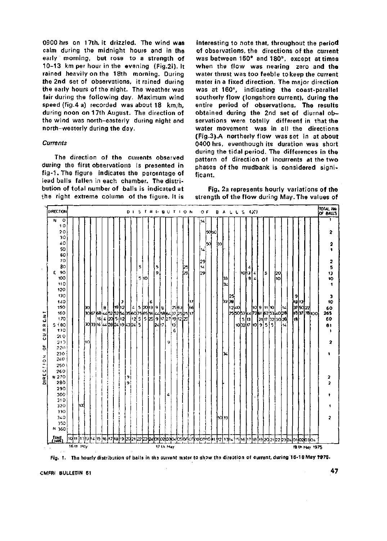0900 hrs on 17th, it drizzled. The wind was calm during the midnight hours and in the early morning, but rose to a strength of 10-13 km per hour in the evening (Fig.2i). It rained heavily on the 18th morning. During the 2nd set of observations, it rained during the early hours of the night. The weather was fair during the following day. Maximum wind speed (fig.4 a) recorded was about 18 km/h, during noon on 17th August. The direction of the wind was north-easterly during night and north-westerly during the day.

#### **Currents**

The direction of the currents observed during the first observations is presented in fig-1. The figure indicates the percentage of lead balls fallen in each chamber. The distribution of total number of balls is indicated at the right extreme column of the figure. It is

interesting to note that, throughout the period of observations, the directions of the current was between 150' and 180°, except at times when the flow was nearing zero and the water thrust was too feeble to keep the current meter in a fixed direction. The major direction was at 160°, indicating the coast-parallel southerly flow (longshore current), during the entire period of observations. The results obtained during the 2nd set of diurnal observations were totally differenf in that the water movement was in all the directions (Fig.3).A northerly flow was set in at about 0400 hrs, eventhough its duration was short during the tidal period. The differences in the pattern of direction of incurrents at the two phases of the mudbank is considered significant.

Fig, 2a represents hourly variations of the strength of the flow during May. The values of





**CMFRI BULLETIN 51** 47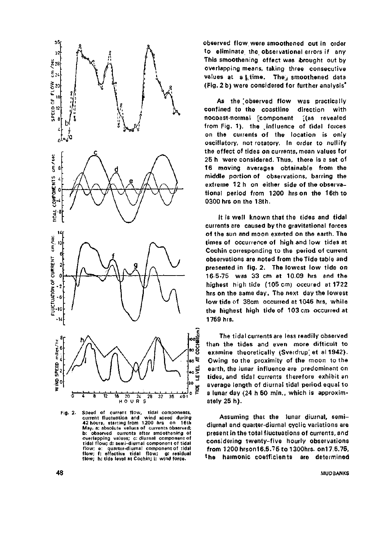

Fig. 2. Speed of current flow, tidal components, current fluctuation and wind speed during 42 hours, starting from 1200 hrs on 16th May. a: absolute values of currents observed; b: observed currents after smoothening of overlapping values; c: diurnal component of tidal flow; d: semi-diurnal component of tidal flow; e: quarter-diurnal component of tidal flow; f: effective tidal flow; g: residual flow; h: tide level at Cochin; i: wind force.

observed flow were smoothened out in order to eliminate the observational errors if any This smoothening effect was ibrought out by overlapping means, taking three consecutive values at a j.time. They smoothened data (Fig. 2 b) were considered for further analysis\*

As the 'observed flow was practically confined to the coastline direction with nocoast-normal [component [(as revealed from Fig. 1), the influence of tidal forces on the currents of the location is only oscillatory, not rotatory. In order to nullify the effect of tides on currents, mean values for 25 h were considered. Thus, there is a set of 16 moving averages obtainable from the middle portion of observations, barring the extreme 12 h on either side of the observational period from 1200 hrs on the 16th to 0300 hrs on the 18th.

It is well known that the tides and tidal currents are caused by the gravitational forces of the sun and moon exerted on the earth. The times of occurrence of high and low tides at Cochin corresponding to the period of current observations are noted from the Tide table and presented in fig. 2. The lowest low tide on 16 5-75 was 33 cm at 10.09 hrs and the highest high tide (105 cm) occured at 1722 hrs on the same day. The next day the lowest low tide of 38cm occurred at 1046 hrs, while the highest high tide of 103 cm occurred at 1759 hrs.

The tidal currents are less readily observed than the tides and even more difticult to examine theoretically (Sverdrup) et al 1942). Owing to the proximity of the moon to the earth, the lunar influence are predominant on tides, and tidal currents therefore exhibit an average length of diurnal tidal period equal to a lunar day (24 h 50 min., which is approximately 25 h).

Assuming that the lunar diurnal, semidiurnal and quarter-diurnal cyclic variations are present in the total fluctuations of currents, and considering twenty-five hourly observations from 1200 hrson16.5.75 to 1300hrs. on17.5.75, the harmonic coefficients are determined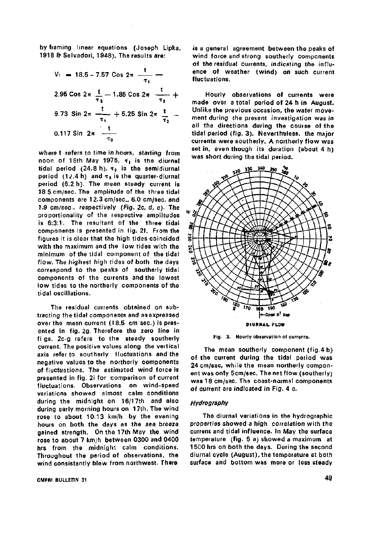by framing linear equations (Joseph Lipka, 1918 & Selvadori, 1948). The results are:

$$
V_{t} = 18.5 - 7.57 \cos 2\pi \frac{t}{\tau_{1}} -
$$
  
2.95  $\cos 2\pi \frac{t}{\tau_{2}} - 1.85 \cos 2\pi \frac{t}{\tau_{3}} +$   
9.73  $\sin 2\pi \frac{t}{\tau_{1}} + 5.25 \sin 2\pi \frac{t}{\tau_{2}} -$   
0.117  $\sin 2\pi \frac{t}{\tau_{3}}$ 

where t refers to time in hours, starting from noon of 16th May 1975,  $\tau_1$  is the diurnal tidal period (24.8 h),  $\tau_2$  is the semidiurnal period  $(12.4 h)$  and  $\tau_3$  is the quarter-diurnal period (6.2 h). The mean steady current is 18 5 cm/sec. The amplitude of the three tidal components are 12.3 cm/sec, 6.0 cm/sec. and 1.9 cm/sec, respectively (Fig. 2c, d, e). The proportionality of the respective amplitudes is 6:3:1. The resultant of the three tidal components is presented in fig. 2f. From the figures it is clear that the high tides coincided with the maximum and the low tides with the minimum of the tidal component of the tidal flow. The highest high tides of both the days correspond to the peaks of southerly tidal components of the currents and the lowest low tides to the northerly components of the tidal oscillations.

The residual currents obtained on subtracting the tidal components and asexpressed over the mean current (18.5 cm/sec.) is presented in fig. 2g. Therefore the zero line in fi gs. 2c-g refers to the steady southerly current. The positive values along the vertical axis refer to southerly fluctuations and the negative values to the northerly components of fluctuations. The estimated wind force is presented in fig. 2i for comparison of current fluctuations. Observations on wind-speed variations showed almost calm conditions during the midnight on 16/17th and also during early morning hours on 17th. The wind rose to about 10.13 km/h by the evening hours on both the days as the sea breeze gained strength. On the 17th May the wind rose to about 7 km/h between 0300 and 0400 hrs from the midnight calm conditions. Throughout the period of observations, the wind consistantly blew from northwest. There

**CMFRI BULLETIN 31** 49

is a general agreement between the peaks of wind force and strong southerly components of the residual currents, indicating the influence of weather (wind) on such current fluctuations.

Hourly observations of currents were made over a total period of 24 h in August. Unlike the previous occasion, the water movement during the present investigation was in all the directions during the course of the tidal period (fig. 3). Nevertheless, the major currents were southerly. A northerly flow was set in, even though its duration (about 4 h) was short during the tidal period.



**Fig. 3. Hourly observation of currents.** 

The mean southerly component (fig.4 b) of the current during the tidal period was 24 cm/sec, while the mean northerly component was only 5cm/sec. The net flow (southerly) was 18 cm/sec. The coast-normal components of current are indicated in Fig. 4 c.

#### *Hydrography*

The diurnal variations in the hydrographic properties showed a high correlation with the current and tidal influence. In May the surface temperature (fig. 5 a) showed a maximum at 1 50O hrs on both the days. During the second diurnal cycle (August), the temperature at both surface and bottom was more or less steady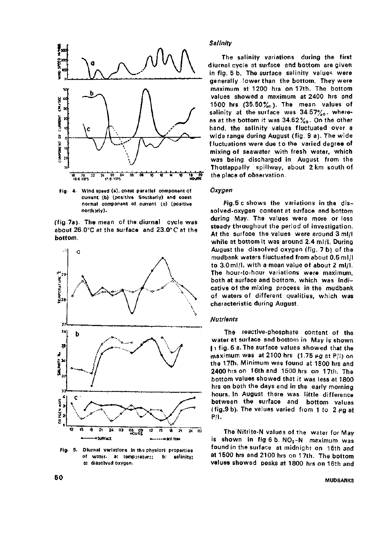

**Fig. 4. Wind speed (a), coast parallel component of current (b) (positive Southerly) and coast normal component of current (c) (positive north arly).** 

(fig.7a). The mean of the diurnal cycle was about 26.0°C at the surface and 23.0°C at the bottom.



**Fig. 5. Diurnal variations in the physical properties of water, a; tempjratur:; b: salinity; c: dissolved oxygen.** 

#### **Salinity**

The salinity variations during the first diurnal cycle at surface and bottom are given in fig. 5 b. The surface salinity values were generally lower than the bottom. They were maximum at 1200 hrs on 17th. The bottom values showed a maximum at 2400 hrs and 1500 hrs  $(35.50\%$ <sub>0</sub>). The mean values of salinity at the surface was  $34.57\%$ <sub>o</sub>, whereas at the bottom it was 34.62%o. On the other hand, the salinity values fluctuated over a wide range during August (fig. 9 a). The wide fluctuations were due to the varied degree of mixing of seawater with fresh water, which was being discharged in August from the Thottappally spillway, about 2 km south of the place of observation.

#### **Oxygen**

Fig.5 c shows the variations in the dissolved-oxygen content at surface and bottom during May. The values were more or less steady throughout the period of investigation. At the surface the values were around 3 ml/I while at bottom it was around 2.4 ml/1. During August the dissolved oxygen (fig. 7 b) of the mudbank waters fluctuated from about 0.5 ml/I to 3.0ml/I, with a mean value of about 2 ml/1. The hour-to-hour variations were maximum, both at surface and bottom, which was indicative of the mixing process in the mudbank of waters of different qualities, which was characteristic during August.

#### **Nutrients**

The reactive-phosphate content of the water at surface and bottom in May is shown 11 fig. 6 a. The surface values showed that the maximum was at 2100 hrs  $(1.75 \mu g$  at P/I) on the 17th. Minimum was found at 1800 hrs and 2400 hrs on 16th and 1500 hrs on 17th. The bottom values showed that it was less at 1800 hrs on both the days and in the early morning hours. In August there was little difference between the surface and bottom values (fig.9 b). The values varied from 1 to  $2 \mu g$  at P/l.

The Nitrite-N values of the water for May is shown in fig 6 b.  $NO<sub>2</sub>-N$  maximum was found in the surface at midnight on 16th and at 1500 hrs and 2100 hrs on 17th. The bottom values showed peaks at 1800 hrs on 16th and

# 50 **MUDBANKS**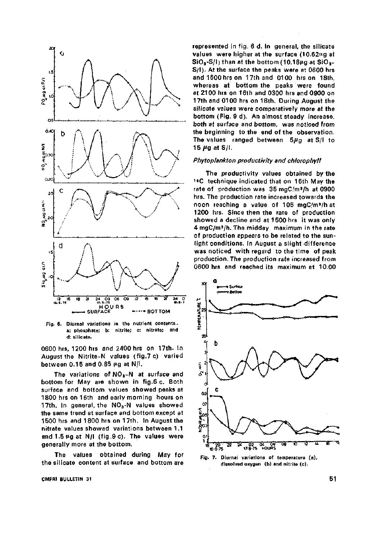

**Fig. 6. Diurnal variations in the nutrient contents.. a: phosphate; b: nitrite; c: nitrate; and d: silicate.** 

0600 hrs, 1200 hrs and 2400 hrs on 17th. In August the Nitrite-N values (fig.7 c) varied between 0.15 and 0.85  $\mu$ g at N/l.

The variations of  $NO<sub>3</sub>$ -N at surface and bottom for May are shown in fig.6 c. Both surface and bottom values showed peaks at 1800 hrs on 16th and early morning hours on 17th. In general, the  $NO<sub>3</sub>$ -N values showed the same trend at surface and bottom except at 1500 hrs and 1800 hrs on 17th. In August the nitrate values showed variations between 1.1 and  $1.5 \mu g$  at N/l (fig.9 c). The values were generally more at the bottom.

The values obtained during May for the silicate content at surface and bottom are

**CMFRI BULLETIN 31 51** 

represented in fig. 6 d. In general, the silicate values were higher at the surface  $(10.62)$  $\mu$ g at  $\textsf{SiO}_3\textsf{-S/l}$ ) than at the bottom (10.18 $\mu$ g at SiO<sub>3</sub>-S/l). At the surface the peaks were at 0600 hrs and 1500 hrs on 17th and 0100 hrs on 18th, whereas at bottom the peaks were found at 2100 hrs on 16th and 0300 hrs and 0900 on 17th and 0100 hrs on 18th. During August the silicate values were comparatively more at the bottom (Fig. 9 d). An almost steady increase, both at surface and bottom, was noticed from the beginning to the end of the observation. The values ranged between  $5\mu$ g at S/l to 15  $\mu$ g at S/I.

#### Phytoplankton productivity and chlorophyll

The productivity values obtained by the '\*C technique indicated that on 16th May the rate of production was 35 mgC/m^/h at 0900 hrs. The production rate increased towards the noon reaching a value of 106 mgC/m»/h at 1200 hrs. Since then the rate of production showed a decline and at 1500 hrs it was only 4 mgC/m3/h. The midday maximum in the rate of production appears to be related to the sunlight conditions. In August a slight difference was noticed with regard to the time of peak production. The production rate increased from 0600 hrs and reached its maximum at 10.00



**Fig. 7. Diurnal variations of temperature (a), dissolved oxygen (b) and nitrite (c).**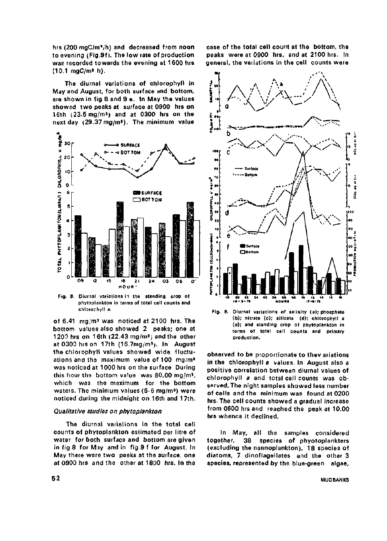hrs (200 mgC/m''/h) and decreased from noon to evening (Fig.Sf). The low rate of production was recorded towards the evening at 1600 hrs (10.1 mgC/m» h).

The diurnal variations of chlorophyll in May and August, for both surface and bottom, are shown in fig 8 and 9 e. In May the values showed two peaks at surface at 0900 hrs on 16th (23.5mg/m3j and at 0300 hrs on the



**Fig. 8. Diurnal variations in the standing crop of**  phytoplankton in terms of total cell counts and **chlorophyll a.** 

of 6.41 mg/m<sup>3</sup> was noticed at 2100 hrs. The bottom values also showed 2 peaks; one at 1200 hrs on 16th  $(22.43 \text{ mg/m}^3)$  and the other at 0300 hrs on 17th (16.7mg/m9;. In August the chlorophyll values showed wide fluctuations and the maximum value of 100 mg/m» was noticed at 1000 hrs on the surface During this hour tha bottom value was 80.00 mg/m', which was the maximum for the bottom waters. The minimum values (5-6 mg/m^) were noticed during ihe midnight on 16th and 17th.

#### Qualitative studies on phytopiankton

The diurnal variations in the total cell counts of phytopiankton estimated per litre of water for both surface and bottom are given in fig 8 for May and in fig.9 f for August. In May there were two peaks at the surface, one at 0900 hrs and the other at 1800 hrs. In the

case of the total cell count at the bottom, the peaks were at 0900 hrs, and at 2100 hrs. In general, the variations in the cell counts were



**(b); nitrate (c); silicate (d); chlorophyll a (e); and standing crop of phytopiankton in terms of total cell counts and primary production.** 

observed to be proportionate to thev ariations in the chlorophyll a values. In August also a positive correlation between diurnal values of chlorophyll a and total cell counts was observed. The night samples showed less number of cells and the minimum was found at 0200 hrs. The cell counts showed a gradual increase from 0600 hrs and reached the peak at 10.00 hrs whence it declined.

In May, all the samples considered together, 38 species of phyotoplankters (excluding the nannoplankton), 18 species of diatoms, 7 dinoflagellates and the other 3 species, represented by the blue-green algae.

**52 MUDBANKS**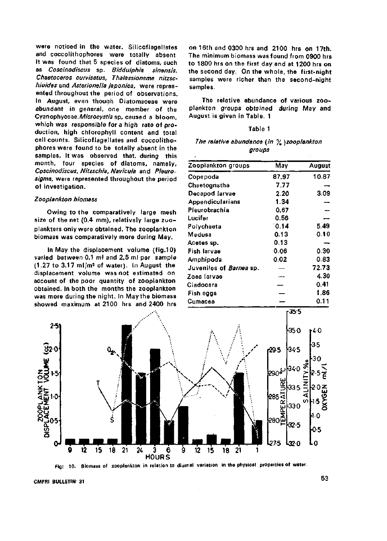were noticed in the water. Silicoflagellates and coccolithophores were totally absent It was found that 5 species of diatoms, such as Coscinodiscus sp. Biddulphia sinensis, Chaetoceros curvisetus, Thalassionema nitzschioides and Asterionella japonica, were represented throughout the period of observations. In August, even though Oiatomaceae were abundant in general, one member of the Cyanophyceae, Microcystis sp, caused a bloom, which was responsible for a high rate of production, high chlorophyll content and total cell counts. Silicoflagellates and coccolithophores were found to be totally absent in the samples. It was observed that, during this month, four species of diatoms, namely, Coscinodiscus, Nitzscliia, Navicula and Pleurosigma, were represented throughout the period of investigation.

#### Zooplankton biomass

Owing to the comparatively large mesh size of the net (0.4 mm), relatively large zooplankters only were obtained. The zooplankton biomass was comparatively more during May.

In May the displacement volume (fig.10) varied between 0.1 ml and 2.5 ml per sample  $(1.27 \text{ to } 3.17 \text{ m})/\text{m}^3$  of water). In August the displacement volume was not estimated on account of the poor quantity of zooplankton obtained. In both the months the zooplankton was more during the night. In May the biomass showed maximum at 2100 hrs and 2400 hrs

on 16th and 0300 hrs and 2100 hrs on 17th. The minimum biomass was found from 0900 hrs to 1800 hrs on the first day and at 1200 hrs on the second day. On the whole, the first-night samples were richer than the second-night samples.

The relative abundance of various zooplankton groups obtained during May and August is given in Table. 1

## Table 1

|        | The relative abundance (in $\%$ )zooplankton |  |  |  |  |  |  |  |  |
|--------|----------------------------------------------|--|--|--|--|--|--|--|--|
| groups |                                              |  |  |  |  |  |  |  |  |

| Zoopiankton groups      | May   | August |  |
|-------------------------|-------|--------|--|
| Copepoda                | 87.97 | 10.87  |  |
| Chaetognatha            | 7.77  |        |  |
| Decapod larvae          | 2.20  | 3.09   |  |
| Appendicularians        | 1.34  |        |  |
| Pleurobrachia           | 0.67  |        |  |
| Lucifer                 | 0.56  |        |  |
| Polychaeta              | 0.14  | 5.49   |  |
| Medusa                  | 0.13  | 0.10   |  |
| Acetes sp.              | 0.13  |        |  |
| Fish larvae             | 0.06  | 0.30   |  |
| Amphipoda               | 0.02  | 0.83   |  |
| Juveniles of Barnea sp. |       | 72.73  |  |
| Zoea larvae             |       | 4.30   |  |
| Cladocera               |       | 0.41   |  |
| Fish eggs               |       | 1,86   |  |
| Cumacea                 |       | 0.11   |  |



**Fig: 10. Biomass of zooplankton in relation to diurnal variation in the physical properties of water.** 

**CMFRI BULLETIN 31** 53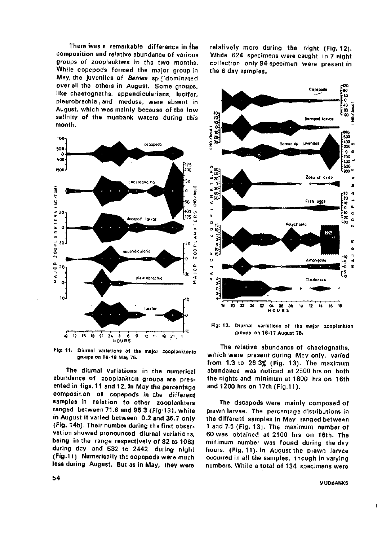There was a remarkable difference in the composition and relative abundance of various groups of zooplankters in the two months. While copepods formed the major group in May, the juveniles of Barnea sp.['dominated over all the others in August. Some groups, like chaetognaths, appendicularians, lucifer, pleurobrachia and medusa, were absent in August, which was mainly because of the low salinity of the mudbank waters during this month.



Fig: 11. Diurnal variations of the major zooplanktonic **groups on 16-18 May 75.** 

The diurnal variations in the numerical abundance of zooplankton groups are presented in figs. 11 and 12. In May the percentage composition of copepods in the different samples in relation to other zooplankters ranged between 71.6 and 95.3 (Fig-13), while in August it varied between 0.2 and 36.7 only (Fig. 14b). Their number during the first observation showed pronounced diurnal variations, being in the range respectively of 82 to 1083 during day and 532 to 2442 during night (Fig.11) Numerically the copepods were much less during August. But as in May, they were

relatively more during the night (Fig, 12). While 624 specimens were caught in 7 night collection only 94 specimen were present in the 6 day samples.



Fig: 12. Diurnal variations of the major zooplankton **groups on 16-17 August 75.** 

The relative abundance of chaetognaths, which were present during May only, varied from 1.3 to 26 3% (Fig. 13). The maximum abundance was noticed at 2500 hrs on both the nights and minimum at 1800 hrs on 16th and 1200 hrs on 17th (Fig.11).

The decapods were mainly composed of prawn larvae. The percentage distributions in the different samples in May ranged between 1 and 7.5 (Fig. 13). The maximum number of 60 was obtained at 2100 hrs on 16th. The minimum number was found during the day hours. (Fig. 11). in August the prawn larvae occurred in all the samples, though in varying numbers. While a total of 134 specimens were

#### **MUDBANKS**

 $\mathbf i$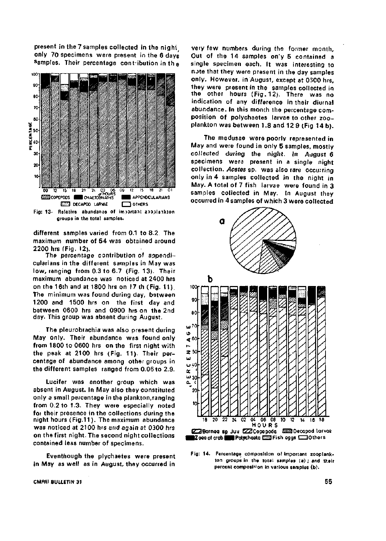present in the 7 samples collected in the night only 70 specimens were present in the 6 days Samples. Their percentage contribution in the



different samples varied from 0.1 to 8.2. The maximum number of 54 was obtained around 2200 hrs (Fig. 12).

The percentage contribution of appendicularians in the different samples in May was low, ranging from 0.3 to 6.7 (Fig. 13). Their maximum abundance was noticed at 2400 hrs on the 16th and at 1800 hrs on 17 th (Fig. 11). The minimum was found during day, between 1200 and 1500 hrs on the first day and between 0600 hrs and 0900 hrs on the 2nd day. This group was absent during August.

The pleurobrachia was also present during May only. Their abundance was found only from 1800 to 0600 hrs on the first night with the peak at 2100 hrs (Fig. 11). Their percentage of abundance among other groups in the different samples ranged from 0.06 to 2.9.

Lucifer was another group which was absent in August. In May also they constituted only a small percentage in the plankton.ranging from 0.2 to 1.3. They were especially noted foi their presence in the collections during the night hours ([Fig.11\)](http://Fig.11). The maximum abundance was noticed at 2100 hrs and again at 0300 hrs on the first night. The second night collections contained less number of specimens.

Eventhough the plychaetes were present in May as well as in August, they occurred in

very few numbers during the former month, Out of the 14 samples on'y 5 contained a single specimen each. It was interesting to note that they were present in the day samples only. However, in August, except at 0300 hrs, they were present in the samples collected in the other hours (Fig. 12). There was no indication of any difference in their diurnal abundance. In this month the percentage composition of polychaetes larvae to other zooplankton was between 1.8 and 12 9 (Fig 14 b).

The medusae were poorly represented in May and were found in only 5 samples, mostly collected during the night. In August 6 specimens were present in a single night collection. Acetes sp. was also rare occurring only in 4 samples collected in the night in May. A total of 7 fish larvae were found in 3 samples collected in May. in August they occurred in 4 samples of which 3 were collected



**Fig: 14. Percentage composition of Important zooplankton groups in the total samples (a); and their percent composi'''on in various samples (b).** 

**CMFAI BULLETIN 31 55**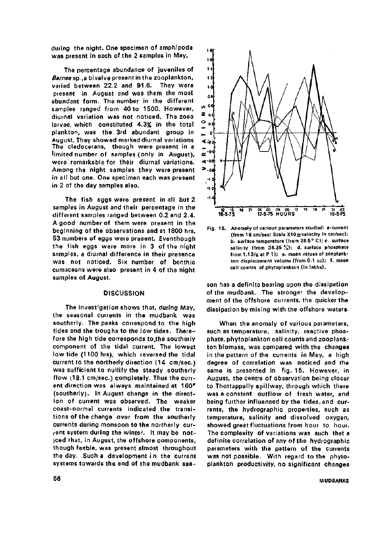during the night. One specimen of amphipoda was present in each of the 2 samples in May.

The percentage abundance of juveniles of Barnea sp., a bivalve present in the zooplankton, varied between 22.2 and 91.6. They were present in August and was them the most abundant form. The number in the different samples ranged from 40 to 1500. However, diurnal variation was not noticed. The zoea larvae, which constituted 4.3% in the total plankton, was the 3rd abundant group in August. They showed marked diurnal variations The cladocerans, though were present in a limited number of samples (only in August), were remarkable for their diurnal variations. Among the night samples they were present in all but one. One specimen each was present in 2 of the day samples also.

The fish eggs were present in all but 2 samples in August and their percentage in the different samples ranged between 0.2 and 2.4. A good number of them were present in the beginning of the observations and at 1800 hrs, 53 numbers of eggs were present, Eventhough the fish eggs were more in 3 of the night samples, a diurnal difference in their presence was not noticed. Six number of benthic cumaceans were also present in 4 of the night samples of August.

## **DISCUSSION**

The investigation shows that, during May, the seasonal currents in the mudbank was southerly. The peaks correspond to the high tides and the troughs to the low tides. Therefore the high tide corresponds to.the southerly component of the tidal current. The lowest low tide (1100 hrs), which reversed the tidal current to the northerly direction (14 cm/sec.) was sufficient to nullify the steady southerly flow 08.1 cm/sec.) completely. Thus the current direction was always maintained at 160\* (southerly). In August change in the oirection of current was observed. The weaker coast-normal currents indicated the transitions of the change over from the southerly currents during monsoon to the northerly current system during the winter. It may be noticed that, in August, the offshore components, though feeble, was present almost throughout the day. Such a development in the current systems towards the end of the mudbank sea-



**Fig. 15. Anomaly of various paramaters studied: a-current (from 18 cm/sec: Scale X10 = velocity in cm/sec); b- surface temperature (from 28.5° C); c. surface salinity (from 34.35 %); d. surface phosphate from 1.13/a at P 1); e. mean values of zooplankton displacement volume (from 0.1 cc); f. mean cell counts of phytoplankton (in lakhs).** 

son has a definite bearing upon the dissipation of the mudbank. The stronger the development of the offshore currents, the quicker the dissipation by mixing with the offshore waters.

When the anomaly of various parameters, such as temperature, salinity, reactive phosphate, phytoplankton cell counts and zooplankton biomass, was compared with the changes in the pattern of the currents in May, a high degree of correlation was noticed and the same is presented in fig. 15. However, in August, the centre of observation being closer to Thottappally spillway, through which there was a constant outflow of fresh water, and being further influenced by the tides, and currents, the hydrographic properties, such as temperature, salinity and dissolved oxygen, showed great fluctuations from hour to hour. The complexity of variations was such that a definite correlation of any of the hydrographic parameters with the pattern of the currents was not possible. With regard to the phytoplankton productivity, no significant changes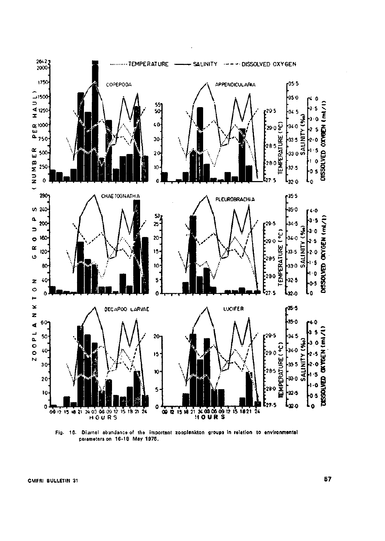

Fig. 16. Diurnal abundance of ths **important zooplankton groups in relation to environmental parameters on 16-18 May 1975.** 

**CMFRI BULLETIN 31** 57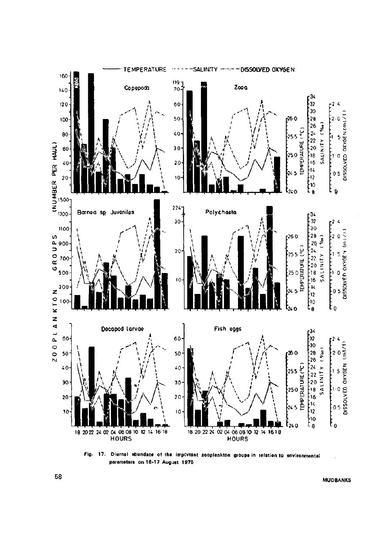

**Fig. 17. Diurnal abundace of the important zooplankton groups in relation to environmental parameters on 16-17 August 1975**